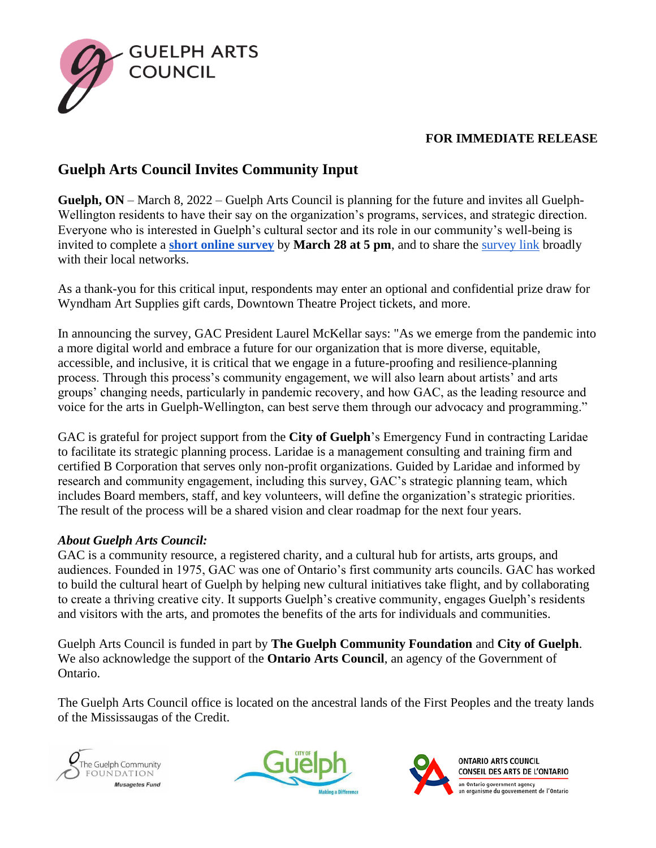

## **FOR IMMEDIATE RELEASE**

## **Guelph Arts Council Invites Community Input**

**Guelph, ON** – March 8, 2022 – Guelph Arts Council is planning for the future and invites all Guelph-Wellington residents to have their say on the organization's programs, services, and strategic direction. Everyone who is interested in Guelph's cultural sector and its role in our community's well-being is invited to complete a **[short online survey](https://www.surveymonkey.ca/r/GACStrategicPlanningSurvey)** by **March 28 at 5 pm**, and to share the [survey link](https://www.surveymonkey.ca/r/GACStrategicPlanningSurvey) broadly with their local networks.

As a thank-you for this critical input, respondents may enter an optional and confidential prize draw for Wyndham Art Supplies gift cards, Downtown Theatre Project tickets, and more.

In announcing the survey, GAC President Laurel McKellar says: "As we emerge from the pandemic into a more digital world and embrace a future for our organization that is more diverse, equitable, accessible, and inclusive, it is critical that we engage in a future-proofing and resilience-planning process. Through this process's community engagement, we will also learn about artists' and arts groups' changing needs, particularly in pandemic recovery, and how GAC, as the leading resource and voice for the arts in Guelph-Wellington, can best serve them through our advocacy and programming."

GAC is grateful for project support from the **City of Guelph**'s Emergency Fund in contracting Laridae to facilitate its strategic planning process. Laridae is a management consulting and training firm and certified B Corporation that serves only non-profit organizations. Guided by Laridae and informed by research and community engagement, including this survey, GAC's strategic planning team, which includes Board members, staff, and key volunteers, will define the organization's strategic priorities. The result of the process will be a shared vision and clear roadmap for the next four years.

## *About Guelph Arts Council:*

GAC is a community resource, a registered charity, and a cultural hub for artists, arts groups, and audiences. Founded in 1975, GAC was one of Ontario's first community arts councils. GAC has worked to build the cultural heart of Guelph by helping new cultural initiatives take flight, and by collaborating to create a thriving creative city. It supports Guelph's creative community, engages Guelph's residents and visitors with the arts, and promotes the benefits of the arts for individuals and communities.

Guelph Arts Council is funded in part by **The Guelph Community Foundation** and **City of Guelph**. We also acknowledge the support of the **Ontario Arts Council**, an agency of the Government of Ontario.

The Guelph Arts Council office is located on the ancestral lands of the First Peoples and the treaty lands of the Mississaugas of the Credit.







**ONTARIO ARTS COUNCIL** CONSEIL DES ARTS DE L'ONTARIO an Ontario government agency<br>un organisme du gouvernement de l'Ontario